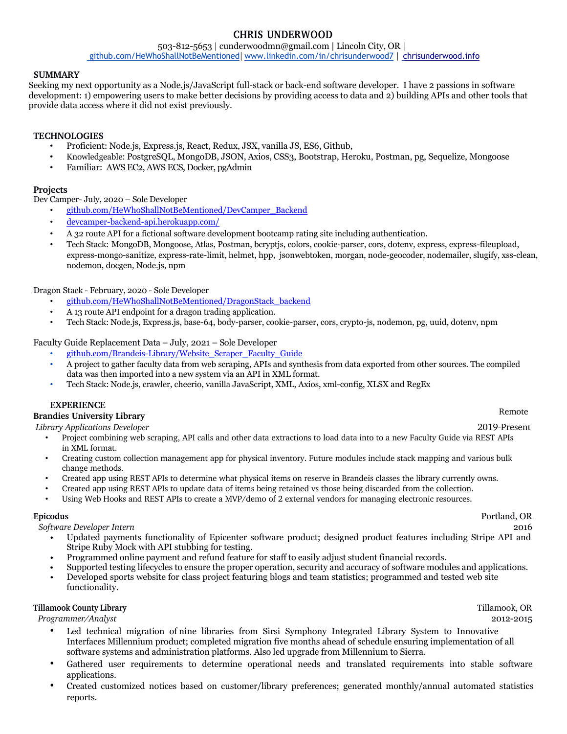## **CHRIS UNDERWOOD**

503-812-5653 | cunderwoodmn@gmail.com | Lincoln City, OR | github.com/HeWhoShallNotBeMentioned| www.linkedin.com/in/chrisunderwood7 | chrisunderwood.info

### **SUMMARY**

Seeking my next opportunity as a Node.js/JavaScript full-stack or back-end software developer. I have 2 passions in software development: 1) empowering users to make better decisions by providing access to data and 2) building APIs and other tools that provide data access where it did not exist previously.

### **TECHNOLOGIES**

- Proficient: Node.js, Express.js, React, Redux, JSX, vanilla JS, ES6, Github,
- Knowledgeable: PostgreSQL, MongoDB, JSON, Axios, CSS3, Bootstrap, Heroku, Postman, pg, Sequelize, Mongoose
- Familiar: AWS EC2, AWS ECS, Docker, pgAdmin

### **Projects**

Dev Camper- July, 2020 – Sole Developer

• github.com/HeWhoShallNotBeMentioned/DevCamper\_Backend

- devcamper-backend-api.herokuapp.com/
- A 32 route API for a fictional software development bootcamp rating site including authentication.
- Tech Stack: MongoDB, Mongoose, Atlas, Postman, bcryptjs, colors, cookie-parser, cors, dotenv, express, express-fileupload, express-mongo-sanitize, express-rate-limit, helmet, hpp, jsonwebtoken, morgan, node-geocoder, nodemailer, slugify, xss-clean, nodemon, docgen, Node.js, npm

Dragon Stack - February, 2020 - Sole Developer

- github.com/HeWhoShallNotBeMentioned/DragonStack\_backend
- A 13 route API endpoint for a dragon trading application.
- Tech Stack: Node.js, Express.js, base-64, body-parser, cookie-parser, cors, crypto-js, nodemon, pg, uuid, dotenv, npm

Faculty Guide Replacement Data – July, 2021 – Sole Developer

- github.com/Brandeis-Library/Website\_Scraper\_Faculty\_Guide
- A project to gather faculty data from web scraping, APIs and synthesis from data exported from other sources. The compiled data was then imported into a new system via an API in XML format.
- Tech Stack: Node.js, crawler, cheerio, vanilla JavaScript, XML, Axios, xml-config, XLSX and RegEx

### **EXPERIENCE**

# **Brandies University Library** Remote

*Library Applications Developer* 2019-Present

- Project combining web scraping, API calls and other data extractions to load data into to a new Faculty Guide via REST APIs in XML format.
- Creating custom collection management app for physical inventory. Future modules include stack mapping and various bulk change methods.
- Created app using REST APIs to determine what physical items on reserve in Brandeis classes the library currently owns.
- Created app using REST APIs to update data of items being retained vs those being discarded from the collection.
- Using Web Hooks and REST APIs to create a MVP/demo of 2 external vendors for managing electronic resources.

*Software Developer Intern* 2016

- Updated payments functionality of Epicenter software product; designed product features including Stripe API and Stripe Ruby Mock with API stubbing for testing.
- Programmed online payment and refund feature for staff to easily adjust student financial records.
- Supported testing lifecycles to ensure the proper operation, security and accuracy of software modules and applications.
- Developed sports website for class project featuring blogs and team statistics; programmed and tested web site functionality.

### **Tillamook County Library** Tillamook, OR

*Programmer/Analyst* 2012-2015

- Led technical migration of nine libraries from Sirsi Symphony Integrated Library System to Innovative Interfaces Millennium product; completed migration five months ahead of schedule ensuring implementation of all software systems and administration platforms. Also led upgrade from Millennium to Sierra.
- Gathered user requirements to determine operational needs and translated requirements into stable software applications.
- Created customized notices based on customer/library preferences; generated monthly/annual automated statistics reports.

 **Epicodus** Portland, OR